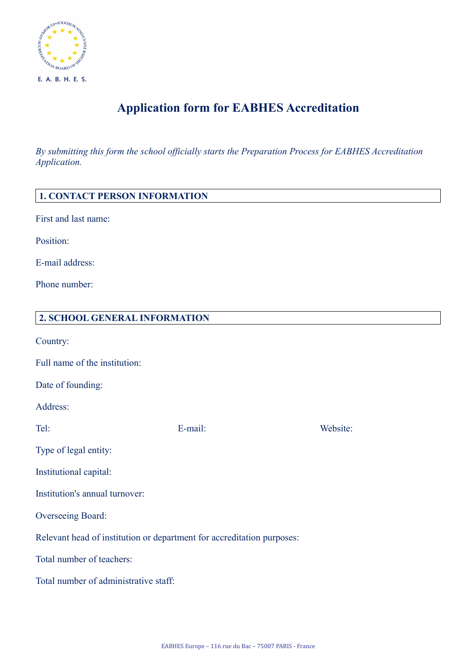

## **Application form for EABHES Accreditation**

*By submitting this form the school officially starts the Preparation Process for EABHES Accreditation Application.*

| <b>1. CONTACT PERSON INFORMATION</b>                                   |         |          |  |
|------------------------------------------------------------------------|---------|----------|--|
| First and last name:                                                   |         |          |  |
| Position:                                                              |         |          |  |
| E-mail address:                                                        |         |          |  |
| Phone number:                                                          |         |          |  |
| 2. SCHOOL GENERAL INFORMATION                                          |         |          |  |
| Country:                                                               |         |          |  |
| Full name of the institution:                                          |         |          |  |
| Date of founding:                                                      |         |          |  |
| Address:                                                               |         |          |  |
| Tel:                                                                   | E-mail: | Website: |  |
| Type of legal entity:                                                  |         |          |  |
| Institutional capital:                                                 |         |          |  |
| Institution's annual turnover:                                         |         |          |  |
| Overseeing Board:                                                      |         |          |  |
| Relevant head of institution or department for accreditation purposes: |         |          |  |
| Total number of teachers:                                              |         |          |  |
| Total number of administrative staff:                                  |         |          |  |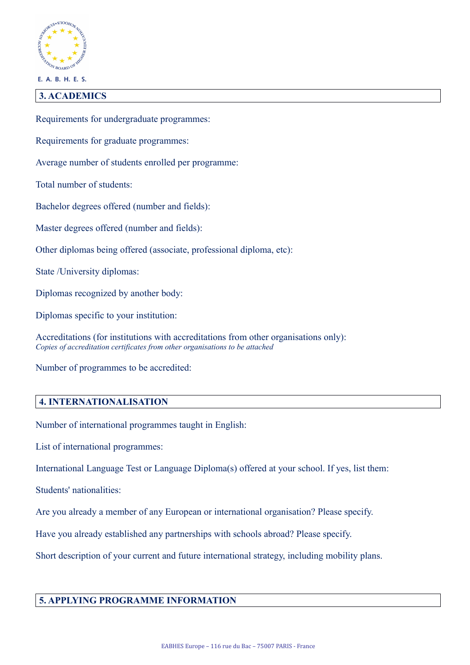

E. A. B. H. E. S.

## **3. ACADEMICS**

Requirements for undergraduate programmes:

Requirements for graduate programmes:

Average number of students enrolled per programme:

Total number of students:

Bachelor degrees offered (number and fields):

Master degrees offered (number and fields):

Other diplomas being offered (associate, professional diploma, etc):

State /University diplomas:

Diplomas recognized by another body:

Diplomas specific to your institution:

Accreditations (for institutions with accreditations from other organisations only): *Copies of accreditation certificates from other organisations to be attached*

Number of programmes to be accredited:

## **4. INTERNATIONALISATION**

Number of international programmes taught in English:

List of international programmes:

International Language Test or Language Diploma(s) offered at your school. If yes, list them:

Students' nationalities:

Are you already a member of any European or international organisation? Please specify.

Have you already established any partnerships with schools abroad? Please specify.

Short description of your current and future international strategy, including mobility plans.

## **5. APPLYING PROGRAMME INFORMATION**